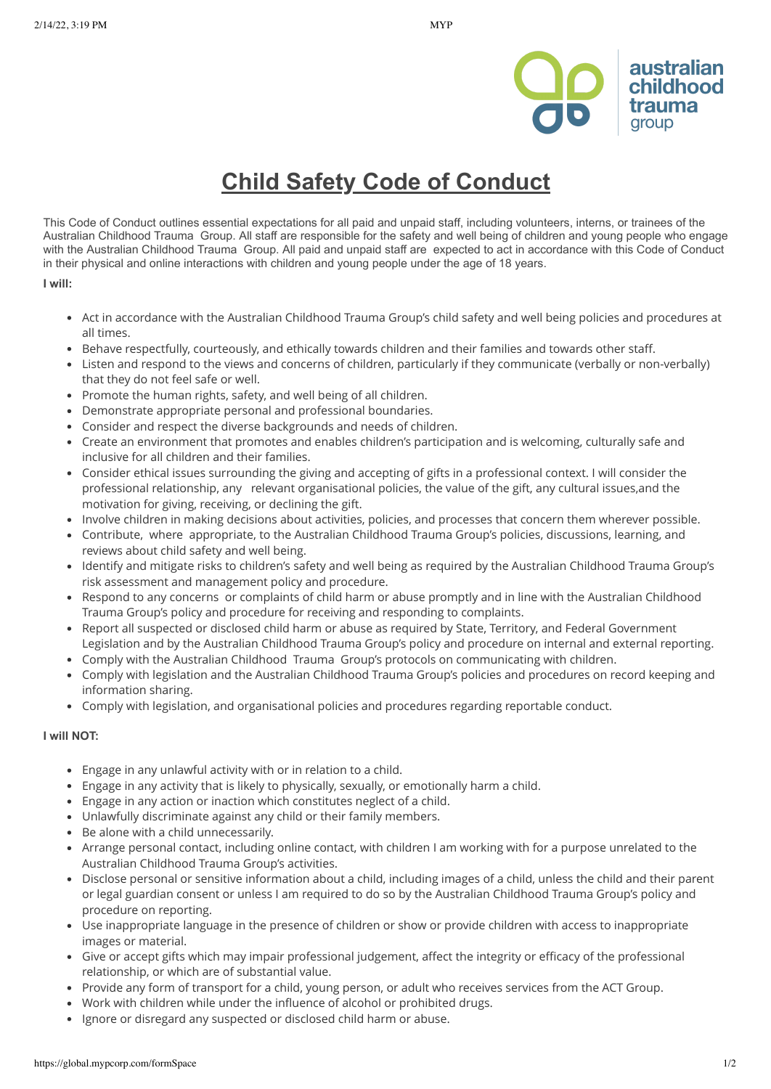



## **Child Safety Code of Conduct**

This Code of Conduct outlines essential expectations for all paid and unpaid staff, including volunteers, interns, or trainees of the Australian Childhood Trauma Group. All staff are responsible for the safety and well being of children and young people who engage with the Australian Childhood Trauma Group. All paid and unpaid staff are expected to act in accordance with this Code of Conduct in their physical and online interactions with children and young people under the age of 18 years.

## **I will:**

- Act in accordance with the Australian Childhood Trauma Group's child safety and well being policies and procedures at all times.
- Behave respectfully, courteously, and ethically towards children and their families and towards other staff.
- Listen and respond to the views and concerns of children, particularly if they communicate (verbally or non-verbally) that they do not feel safe or well.
- Promote the human rights, safety, and well being of all children.
- Demonstrate appropriate personal and professional boundaries.
- Consider and respect the diverse backgrounds and needs of children.
- Create an environment that promotes and enables children's participation and is welcoming, culturally safe and inclusive for all children and their families.
- Consider ethical issues surrounding the giving and accepting of gifts in a professional context. I will consider the professional relationship, any relevant organisational policies, the value of the gift, any cultural issues,and the motivation for giving, receiving, or declining the gift.
- Involve children in making decisions about activities, policies, and processes that concern them wherever possible.
- Contribute, where appropriate, to the Australian Childhood Trauma Group's policies, discussions, learning, and reviews about child safety and well being.
- Identify and mitigate risks to children's safety and well being as required by the Australian Childhood Trauma Group's risk assessment and management policy and procedure.
- Respond to any concerns or complaints of child harm or abuse promptly and in line with the Australian Childhood  $\bullet$ Trauma Group's policy and procedure for receiving and responding to complaints.
- Report all suspected or disclosed child harm or abuse as required by State, Territory, and Federal Government Legislation and by the Australian Childhood Trauma Group's policy and procedure on internal and external reporting.
- Comply with the Australian Childhood Trauma Group's protocols on communicating with children.
- Comply with legislation and the Australian Childhood Trauma Group's policies and procedures on record keeping and information sharing.
- Comply with legislation, and organisational policies and procedures regarding reportable conduct.

## **I will NOT:**

- Engage in any unlawful activity with or in relation to a child.
- Engage in any activity that is likely to physically, sexually, or emotionally harm a child.
- Engage in any action or inaction which constitutes neglect of a child.
- Unlawfully discriminate against any child or their family members.
- Be alone with a child unnecessarily.
- Arrange personal contact, including online contact, with children I am working with for a purpose unrelated to the Australian Childhood Trauma Group's activities.
- Disclose personal or sensitive information about a child, including images of a child, unless the child and their parent or legal guardian consent or unless I am required to do so by the Australian Childhood Trauma Group's policy and procedure on reporting.
- Use inappropriate language in the presence of children or show or provide children with access to inappropriate images or material.
- Give or accept gifts which may impair professional judgement, affect the integrity or efficacy of the professional relationship, or which are of substantial value.
- Provide any form of transport for a child, young person, or adult who receives services from the ACT Group.
- Work with children while under the influence of alcohol or prohibited drugs.
- Ignore or disregard any suspected or disclosed child harm or abuse. $\bullet$